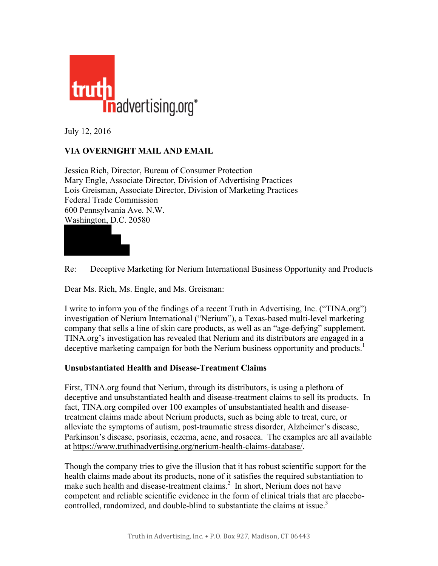

July 12, 2016

## **VIA OVERNIGHT MAIL AND EMAIL**

Jessica Rich, Director, Bureau of Consumer Protection Mary Engle, Associate Director, Division of Advertising Practices Lois Greisman, Associate Director, Division of Marketing Practices Federal Trade Commission 600 Pennsylvania Ave. N.W. Washington, D.C. 20580



Re: Deceptive Marketing for Nerium International Business Opportunity and Products

Dear Ms. Rich, Ms. Engle, and Ms. Greisman:

I write to inform you of the findings of a recent Truth in Advertising, Inc. ("TINA.org") investigation of Nerium International ("Nerium"), a Texas-based multi-level marketing company that sells a line of skin care products, as well as an "age-defying" supplement. TINA.org's investigation has revealed that Nerium and its distributors are engaged in a deceptive marketing campaign for both the Nerium business opportunity and products.<sup>1</sup>

## **Unsubstantiated Health and Disease-Treatment Claims**

First, TINA.org found that Nerium, through its distributors, is using a plethora of deceptive and unsubstantiated health and disease-treatment claims to sell its products. In fact, TINA.org compiled over 100 examples of unsubstantiated health and diseasetreatment claims made about Nerium products, such as being able to treat, cure, or alleviate the symptoms of autism, post-traumatic stress disorder, Alzheimer's disease, Parkinson's disease, psoriasis, eczema, acne, and rosacea. The examples are all available at [https://www.truthinadvertising.org/nerium-health-claims-database/.](https://www.truthinadvertising.org/nerium-health-claims-database/)

Though the company tries to give the illusion that it has robust scientific support for the health claims made about its products, none of it satisfies the required substantiation to make such health and disease-treatment claims.<sup>2</sup> In short, Nerium does not have competent and reliable scientific evidence in the form of clinical trials that are placebocontrolled, randomized, and double-blind to substantiate the claims at issue.<sup>3</sup>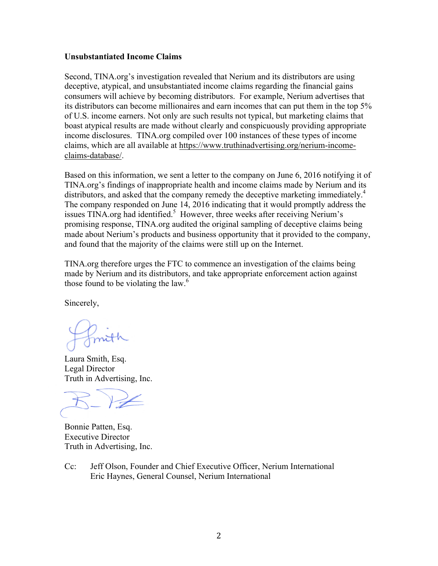## **Unsubstantiated Income Claims**

Second, TINA.org's investigation revealed that Nerium and its distributors are using deceptive, atypical, and unsubstantiated income claims regarding the financial gains consumers will achieve by becoming distributors. For example, Nerium advertises that its distributors can become millionaires and earn incomes that can put them in the top 5% of U.S. income earners. Not only are such results not typical, but marketing claims that boast atypical results are made without clearly and conspicuously providing appropriate income disclosures. TINA.org compiled over 100 instances of these types of income claims, which are all available at [https://www.truthinadvertising.org/nerium-income](https://www.truthinadvertising.org/nerium-income-claims-database/)[claims-database/.](https://www.truthinadvertising.org/nerium-income-claims-database/)

Based on this information, we sent a letter to the company on June 6, 2016 notifying it of TINA.org's findings of inappropriate health and income claims made by Nerium and its distributors, and asked that the company remedy the deceptive marketing immediately.<sup>4</sup> The company responded on June 14, 2016 indicating that it would promptly address the issues TINA.org had identified.<sup>5</sup> However, three weeks after receiving Nerium's promising response, TINA.org audited the original sampling of deceptive claims being made about Nerium's products and business opportunity that it provided to the company, and found that the majority of the claims were still up on the Internet.

TINA.org therefore urges the FTC to commence an investigation of the claims being made by Nerium and its distributors, and take appropriate enforcement action against those found to be violating the law. $<sup>6</sup>$ </sup>

Sincerely,

Laura Smith, Esq. Legal Director Truth in Advertising, Inc.

Bonnie Patten, Esq. Executive Director Truth in Advertising, Inc.

Cc: Jeff Olson, Founder and Chief Executive Officer, Nerium International Eric Haynes, General Counsel, Nerium International